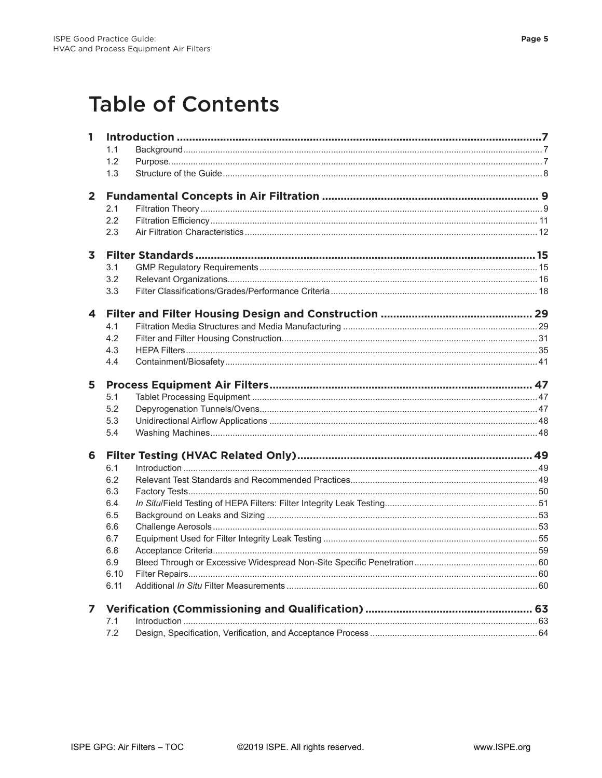## **Table of Contents**

| 1              |            |  |  |
|----------------|------------|--|--|
|                | 1.1        |  |  |
|                | 1.2        |  |  |
|                | 1.3        |  |  |
|                |            |  |  |
| $\overline{2}$ |            |  |  |
|                | 2.1        |  |  |
|                | 2.2        |  |  |
|                | 2.3        |  |  |
| 3              |            |  |  |
|                | 3.1        |  |  |
|                | 3.2        |  |  |
|                | 3.3        |  |  |
|                |            |  |  |
| 4              |            |  |  |
|                | 4.1        |  |  |
|                | 4.2        |  |  |
|                | 4.3        |  |  |
|                | 4.4        |  |  |
| 5              |            |  |  |
|                | 5.1        |  |  |
|                | 5.2        |  |  |
|                | 5.3        |  |  |
|                | 5.4        |  |  |
| 6              |            |  |  |
|                | 6.1        |  |  |
|                | 6.2        |  |  |
|                | 6.3        |  |  |
|                | 6.4        |  |  |
|                | 6.5        |  |  |
|                | 6.6        |  |  |
|                | 6.7        |  |  |
|                | 6.8        |  |  |
|                | 6.9        |  |  |
|                | 6.10       |  |  |
|                | 6.11       |  |  |
|                |            |  |  |
| 7              |            |  |  |
|                | 7.1<br>7.2 |  |  |
|                |            |  |  |